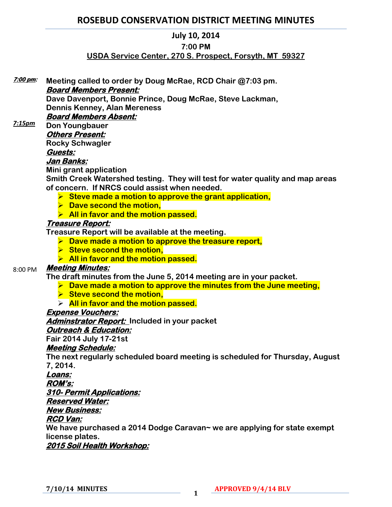# **ROSEBUD CONSERVATION DISTRICT MEETING MINUTES**

#### **July 10, 2014**

#### **7:00 PM**

### **USDA Service Center, 270 S. Prospect, Forsyth, MT 59327**

**Meeting called to order by Doug McRae, RCD Chair @7:03 pm. Board Members Present: Dave Davenport, Bonnie Prince, Doug McRae, Steve Lackman, Dennis Kenney, Alan Mereness Board Members Absent: Don Youngbauer Others Present: Rocky Schwagler Guests: Jan Banks: Mini grant application Smith Creek Watershed testing. They will test for water quality and map areas of concern. If NRCS could assist when needed. Steve made a motion to approve the grant application, ▶ Dave second the motion, All in favor and the motion passed. Treasure Report: Treasure Report will be available at the meeting. Dave made a motion to approve the treasure report, Steve second the motion, All in favor and the motion passed. Meeting Minutes: The draft minutes from the June 5, 2014 meeting are in your packet. Dave made a motion to approve the minutes from the June meeting, ► Steve second the motion, All in favor and the motion passed. Expense Vouchers: Adminstrator Report: Included in your packet Outreach & Education: Fair 2014 July 17-21st Meeting Schedule: The next regularly scheduled board meeting is scheduled for Thursday, August 7, 2014. Loans: ROM's: 310- Permit Applications: Reserved Water: New Business: RCD Van: We have purchased a 2014 Dodge Caravan~ we are applying for state exempt license plates. 2015 Soil Health Workshop: 7:00 pm:**  *7:15pm* 8:00 PM